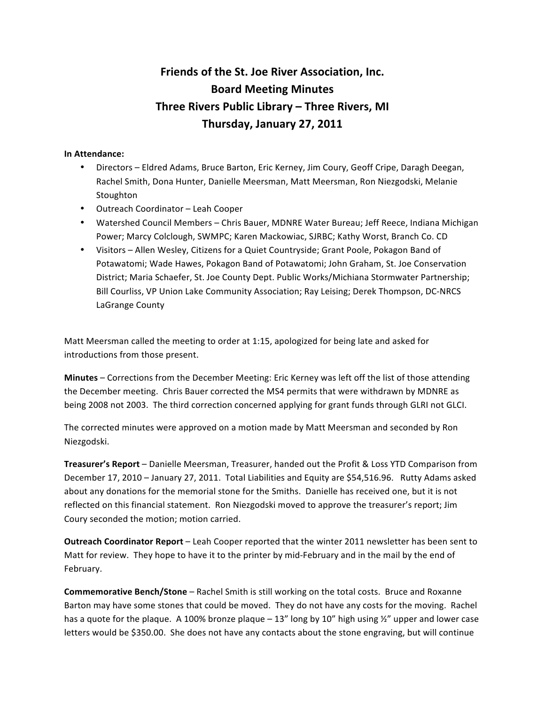## **Friends of the St. Joe River Association, Inc. Board Meeting Minutes Three Rivers Public Library – Three Rivers, MI Thursday, January 27, 2011**

## **In Attendance:**

- Directors Eldred Adams, Bruce Barton, Eric Kerney, Jim Coury, Geoff Cripe, Daragh Deegan, Rachel Smith, Dona Hunter, Danielle Meersman, Matt Meersman, Ron Niezgodski, Melanie Stoughton
- Outreach Coordinator Leah Cooper
- Watershed Council Members Chris Bauer, MDNRE Water Bureau; Jeff Reece, Indiana Michigan Power; Marcy Colclough, SWMPC; Karen Mackowiac, SJRBC; Kathy Worst, Branch Co. CD
- Visitors Allen Wesley, Citizens for a Quiet Countryside; Grant Poole, Pokagon Band of Potawatomi; Wade Hawes, Pokagon Band of Potawatomi; John Graham, St. Joe Conservation District; Maria Schaefer, St. Joe County Dept. Public Works/Michiana Stormwater Partnership; Bill Courliss, VP Union Lake Community Association; Ray Leising; Derek Thompson, DC‐NRCS LaGrange County

Matt Meersman called the meeting to order at 1:15, apologized for being late and asked for introductions from those present.

**Minutes** – Corrections from the December Meeting: Eric Kerney was left off the list of those attending the December meeting. Chris Bauer corrected the MS4 permits that were withdrawn by MDNRE as being 2008 not 2003. The third correction concerned applying for grant funds through GLRI not GLCI.

The corrected minutes were approved on a motion made by Matt Meersman and seconded by Ron Niezgodski.

**Treasurer's Report** – Danielle Meersman, Treasurer, handed out the Profit & Loss YTD Comparison from December 17, 2010 – January 27, 2011. Total Liabilities and Equity are \$54,516.96. Rutty Adams asked about any donations for the memorial stone for the Smiths. Danielle has received one, but it is not reflected on this financial statement. Ron Niezgodski moved to approve the treasurer's report; Jim Coury seconded the motion; motion carried.

**Outreach Coordinator Report** – Leah Cooper reported that the winter 2011 newsletter has been sent to Matt for review. They hope to have it to the printer by mid‐February and in the mail by the end of February.

**Commemorative Bench/Stone** – Rachel Smith is still working on the total costs. Bruce and Roxanne Barton may have some stones that could be moved. They do not have any costs for the moving. Rachel has a quote for the plaque. A 100% bronze plaque  $-13$ " long by 10" high using  $\frac{1}{2}$ " upper and lower case letters would be \$350.00. She does not have any contacts about the stone engraving, but will continue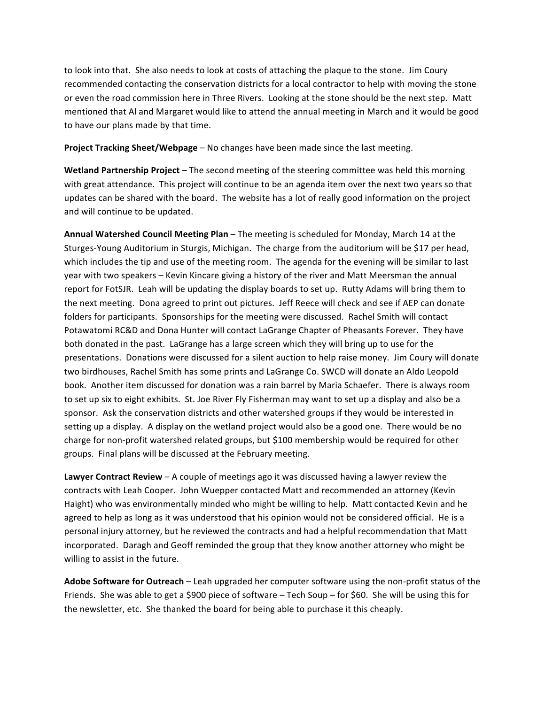to look into that. She also needs to look at costs of attaching the plaque to the stone. Jim Coury recommended contacting the conservation districts for a local contractor to help with moving the stone or even the road commission here in Three Rivers. Looking at the stone should be the next step. Matt mentioned that Al and Margaret would like to attend the annual meeting in March and it would be good to have our plans made by that time.

**Project Tracking Sheet/Webpage** – No changes have been made since the last meeting.

**Wetland Partnership Project** – The second meeting of the steering committee was held this morning with great attendance. This project will continue to be an agenda item over the next two years so that updates can be shared with the board. The website has a lot of really good information on the project and will continue to be updated.

**Annual Watershed Council Meeting Plan** – The meeting is scheduled for Monday, March 14 at the Sturges‐Young Auditorium in Sturgis, Michigan. The charge from the auditorium will be \$17 per head, which includes the tip and use of the meeting room. The agenda for the evening will be similar to last year with two speakers – Kevin Kincare giving a history of the river and Matt Meersman the annual report for FotSJR. Leah will be updating the display boards to set up. Rutty Adams will bring them to the next meeting. Dona agreed to print out pictures. Jeff Reece will check and see if AEP can donate folders for participants. Sponsorships for the meeting were discussed. Rachel Smith will contact Potawatomi RC&D and Dona Hunter will contact LaGrange Chapter of Pheasants Forever. They have both donated in the past. LaGrange has a large screen which they will bring up to use for the presentations. Donations were discussed for a silent auction to help raise money. Jim Coury will donate two birdhouses, Rachel Smith has some prints and LaGrange Co. SWCD will donate an Aldo Leopold book. Another item discussed for donation was a rain barrel by Maria Schaefer. There is always room to set up six to eight exhibits. St. Joe River Fly Fisherman may want to set up a display and also be a sponsor. Ask the conservation districts and other watershed groups if they would be interested in setting up a display. A display on the wetland project would also be a good one. There would be no charge for non‐profit watershed related groups, but \$100 membership would be required for other groups. Final plans will be discussed at the February meeting.

**Lawyer Contract Review** – A couple of meetings ago it was discussed having a lawyer review the contracts with Leah Cooper. John Wuepper contacted Matt and recommended an attorney (Kevin Haight) who was environmentally minded who might be willing to help. Matt contacted Kevin and he agreed to help as long as it was understood that his opinion would not be considered official. He is a personal injury attorney, but he reviewed the contracts and had a helpful recommendation that Matt incorporated. Daragh and Geoff reminded the group that they know another attorney who might be willing to assist in the future.

**Adobe Software for Outreach** – Leah upgraded her computer software using the non‐profit status of the Friends. She was able to get a \$900 piece of software – Tech Soup – for \$60. She will be using this for the newsletter, etc. She thanked the board for being able to purchase it this cheaply.